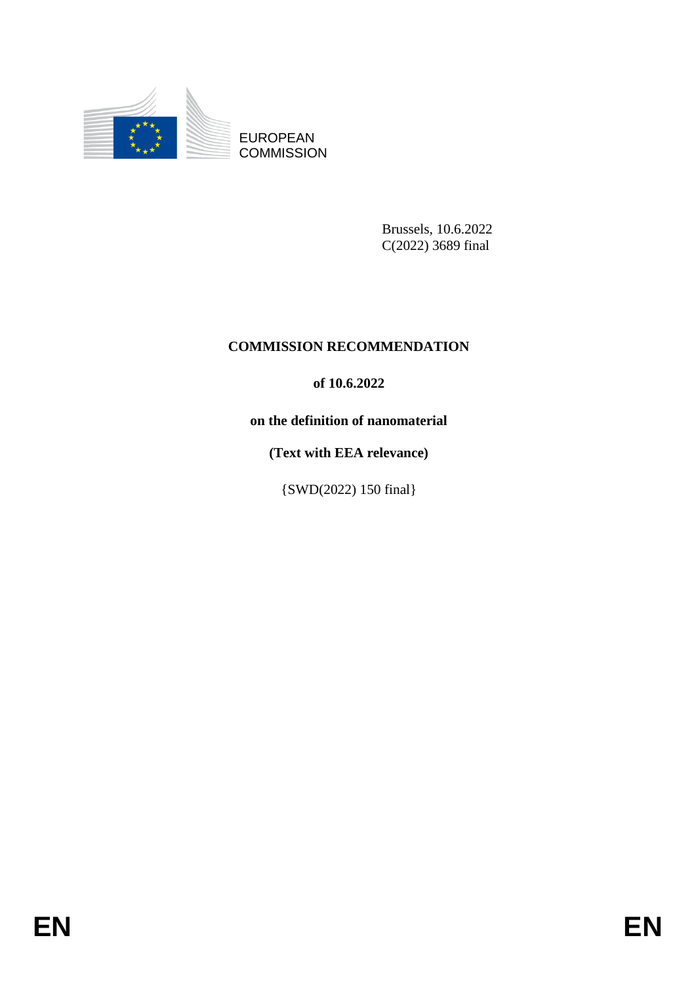

EUROPEAN **COMMISSION** 

> Brussels, 10.6.2022 C(2022) 3689 final

# **COMMISSION RECOMMENDATION**

## **of 10.6.2022**

**on the definition of nanomaterial**

**(Text with EEA relevance)**

{SWD(2022) 150 final}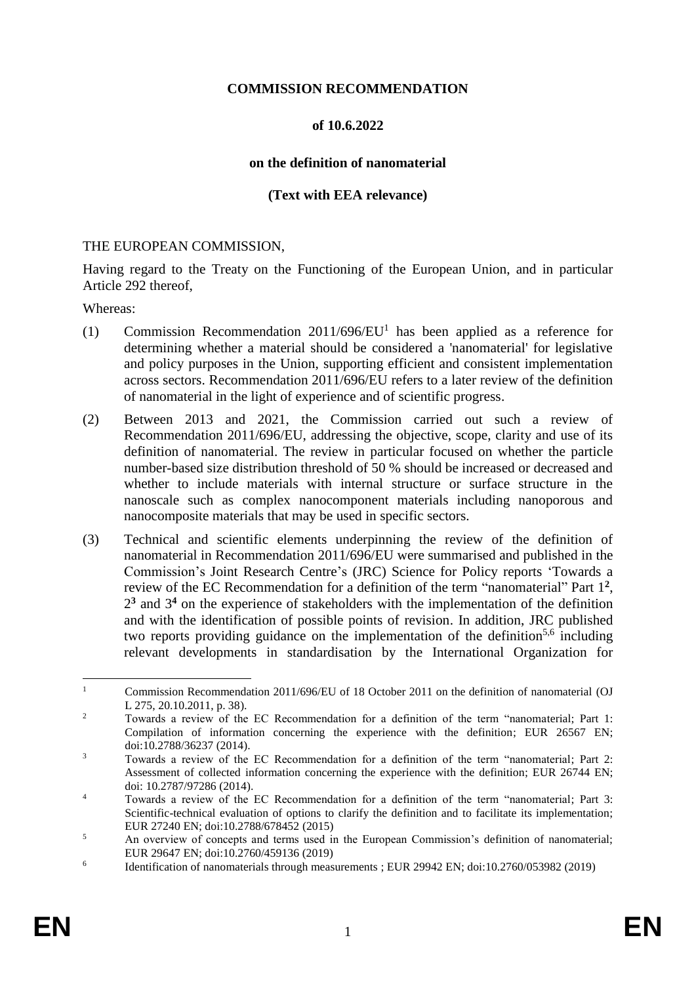### **COMMISSION RECOMMENDATION**

### **of 10.6.2022**

#### **on the definition of nanomaterial**

### **(Text with EEA relevance)**

#### THE EUROPEAN COMMISSION,

Having regard to the Treaty on the Functioning of the European Union, and in particular Article 292 thereof,

Whereas:

- (1) Commission Recommendation  $2011/696/EU<sup>1</sup>$  has been applied as a reference for determining whether a material should be considered a 'nanomaterial' for legislative and policy purposes in the Union, supporting efficient and consistent implementation across sectors. Recommendation 2011/696/EU refers to a later review of the definition of nanomaterial in the light of experience and of scientific progress.
- (2) Between 2013 and 2021, the Commission carried out such a review of Recommendation 2011/696/EU, addressing the objective, scope, clarity and use of its definition of nanomaterial. The review in particular focused on whether the particle number-based size distribution threshold of 50 % should be increased or decreased and whether to include materials with internal structure or surface structure in the nanoscale such as complex nanocomponent materials including nanoporous and nanocomposite materials that may be used in specific sectors.
- (3) Technical and scientific elements underpinning the review of the definition of nanomaterial in Recommendation 2011/696/EU were summarised and published in the Commission's Joint Research Centre's (JRC) Science for Policy reports 'Towards a review of the EC Recommendation for a definition of the term "nanomaterial" Part 1**<sup>2</sup>** , 2 **<sup>3</sup>** and 3 **<sup>4</sup>** on the experience of stakeholders with the implementation of the definition and with the identification of possible points of revision. In addition, JRC published two reports providing guidance on the implementation of the definition<sup>5,6</sup> including relevant developments in standardisation by the International Organization for

 $\mathbf{1}$ <sup>1</sup> Commission Recommendation 2011/696/EU of 18 October 2011 on the definition of nanomaterial (OJ L 275, 20.10.2011, p. 38).

<sup>&</sup>lt;sup>2</sup> Towards a review of the EC Recommendation for a definition of the term "nanomaterial; Part 1: Compilation of information concerning the experience with the definition; EUR 26567 EN; doi:10.2788/36237 (2014).

<sup>&</sup>lt;sup>3</sup> Towards a review of the EC Recommendation for a definition of the term "nanomaterial; Part 2: Assessment of collected information concerning the experience with the definition; EUR 26744 EN; doi: 10.2787/97286 (2014).

<sup>&</sup>lt;sup>4</sup> Towards a review of the EC Recommendation for a definition of the term "nanomaterial; Part 3: Scientific-technical evaluation of options to clarify the definition and to facilitate its implementation; EUR 27240 EN; doi:10.2788/678452 (2015)

<sup>&</sup>lt;sup>5</sup> An overview of concepts and terms used in the European Commission's definition of nanomaterial; EUR 29647 EN; doi:10.2760/459136 (2019)

<sup>6</sup> Identification of nanomaterials through measurements ; EUR 29942 EN; doi:10.2760/053982 (2019)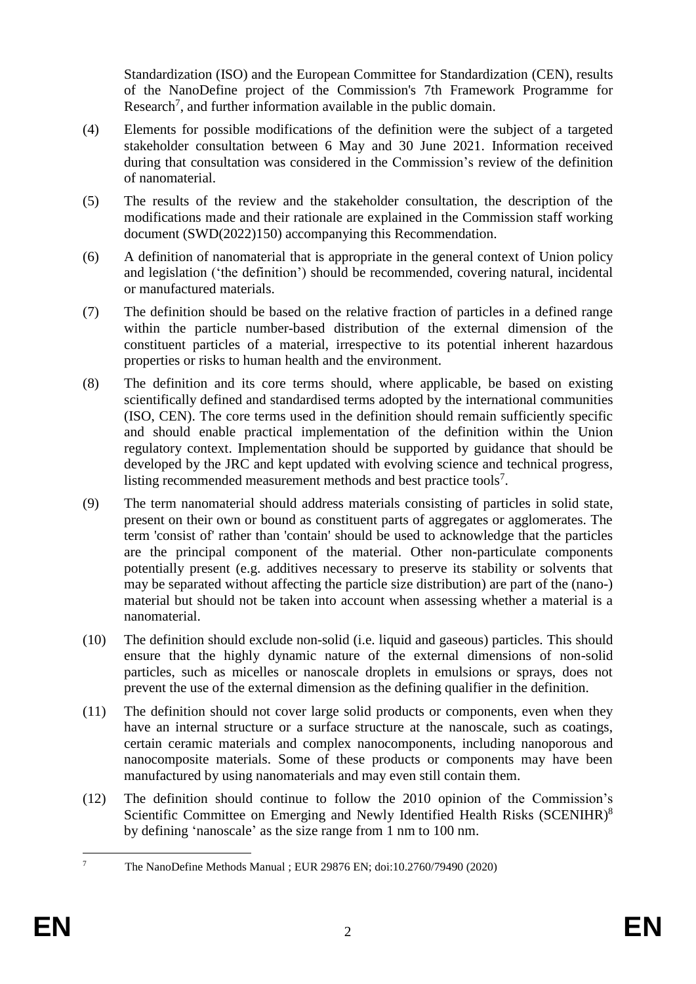<span id="page-2-0"></span>Standardization (ISO) and the European Committee for Standardization (CEN), results of the NanoDefine project of the Commission's 7th Framework Programme for Research<sup>7</sup>, and further information available in the public domain.

- (4) Elements for possible modifications of the definition were the subject of a targeted stakeholder consultation between 6 May and 30 June 2021. Information received during that consultation was considered in the Commission's review of the definition of nanomaterial.
- (5) The results of the review and the stakeholder consultation, the description of the modifications made and their rationale are explained in the Commission staff working document (SWD(2022)150) accompanying this Recommendation.
- (6) A definition of nanomaterial that is appropriate in the general context of Union policy and legislation ('the definition') should be recommended, covering natural, incidental or manufactured materials.
- (7) The definition should be based on the relative fraction of particles in a defined range within the particle number-based distribution of the external dimension of the constituent particles of a material, irrespective to its potential inherent hazardous properties or risks to human health and the environment.
- (8) The definition and its core terms should, where applicable, be based on existing scientifically defined and standardised terms adopted by the international communities (ISO, CEN). The core terms used in the definition should remain sufficiently specific and should enable practical implementation of the definition within the Union regulatory context. Implementation should be supported by guidance that should be developed by the JRC and kept updated with evolving science and technical progress, listing recommended measurement methods and best practice tools<sup>[7](#page-2-0)</sup>.
- (9) The term nanomaterial should address materials consisting of particles in solid state, present on their own or bound as constituent parts of aggregates or agglomerates. The term 'consist of' rather than 'contain' should be used to acknowledge that the particles are the principal component of the material. Other non-particulate components potentially present (e.g. additives necessary to preserve its stability or solvents that may be separated without affecting the particle size distribution) are part of the (nano-) material but should not be taken into account when assessing whether a material is a nanomaterial.
- (10) The definition should exclude non-solid (i.e. liquid and gaseous) particles. This should ensure that the highly dynamic nature of the external dimensions of non-solid particles, such as micelles or nanoscale droplets in emulsions or sprays, does not prevent the use of the external dimension as the defining qualifier in the definition.
- (11) The definition should not cover large solid products or components, even when they have an internal structure or a surface structure at the nanoscale, such as coatings, certain ceramic materials and complex nanocomponents, including nanoporous and nanocomposite materials. Some of these products or components may have been manufactured by using nanomaterials and may even still contain them.
- (12) The definition should continue to follow the 2010 opinion of the Commission's Scientific Committee on Emerging and Newly Identified Health Risks (SCENIHR)<sup>8</sup> by defining 'nanoscale' as the size range from 1 nm to 100 nm.

 $\overline{7}$ <sup>7</sup> The NanoDefine Methods Manual ; EUR 29876 EN; doi:10.2760/79490 (2020)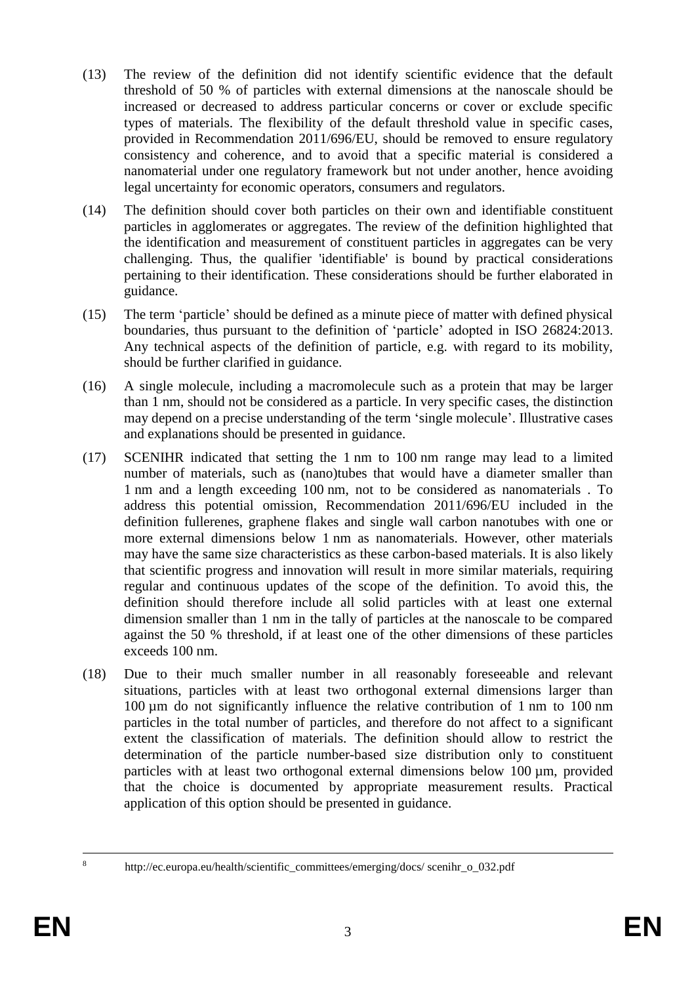- (13) The review of the definition did not identify scientific evidence that the default threshold of 50 % of particles with external dimensions at the nanoscale should be increased or decreased to address particular concerns or cover or exclude specific types of materials. The flexibility of the default threshold value in specific cases, provided in Recommendation 2011/696/EU, should be removed to ensure regulatory consistency and coherence, and to avoid that a specific material is considered a nanomaterial under one regulatory framework but not under another, hence avoiding legal uncertainty for economic operators, consumers and regulators.
- (14) The definition should cover both particles on their own and identifiable constituent particles in agglomerates or aggregates. The review of the definition highlighted that the identification and measurement of constituent particles in aggregates can be very challenging. Thus, the qualifier 'identifiable' is bound by practical considerations pertaining to their identification. These considerations should be further elaborated in guidance.
- (15) The term 'particle' should be defined as a minute piece of matter with defined physical boundaries, thus pursuant to the definition of 'particle' adopted in ISO 26824:2013. Any technical aspects of the definition of particle, e.g. with regard to its mobility, should be further clarified in guidance.
- (16) A single molecule, including a macromolecule such as a protein that may be larger than 1 nm, should not be considered as a particle. In very specific cases, the distinction may depend on a precise understanding of the term 'single molecule'. Illustrative cases and explanations should be presented in guidance.
- (17) SCENIHR indicated that setting the 1 nm to 100 nm range may lead to a limited number of materials, such as (nano)tubes that would have a diameter smaller than 1 nm and a length exceeding 100 nm, not to be considered as nanomaterials . To address this potential omission, Recommendation 2011/696/EU included in the definition fullerenes, graphene flakes and single wall carbon nanotubes with one or more external dimensions below 1 nm as nanomaterials. However, other materials may have the same size characteristics as these carbon-based materials. It is also likely that scientific progress and innovation will result in more similar materials, requiring regular and continuous updates of the scope of the definition. To avoid this, the definition should therefore include all solid particles with at least one external dimension smaller than 1 nm in the tally of particles at the nanoscale to be compared against the 50 % threshold, if at least one of the other dimensions of these particles exceeds 100 nm.
- (18) Due to their much smaller number in all reasonably foreseeable and relevant situations, particles with at least two orthogonal external dimensions larger than 100 µm do not significantly influence the relative contribution of 1 nm to 100 nm particles in the total number of particles, and therefore do not affect to a significant extent the classification of materials. The definition should allow to restrict the determination of the particle number-based size distribution only to constituent particles with at least two orthogonal external dimensions below 100 µm, provided that the choice is documented by appropriate measurement results. Practical application of this option should be presented in guidance.

<sup>&</sup>lt;u>.</u>

<sup>8</sup> http://ec.europa.eu/health/scientific\_committees/emerging/docs/ scenihr\_o\_032.pdf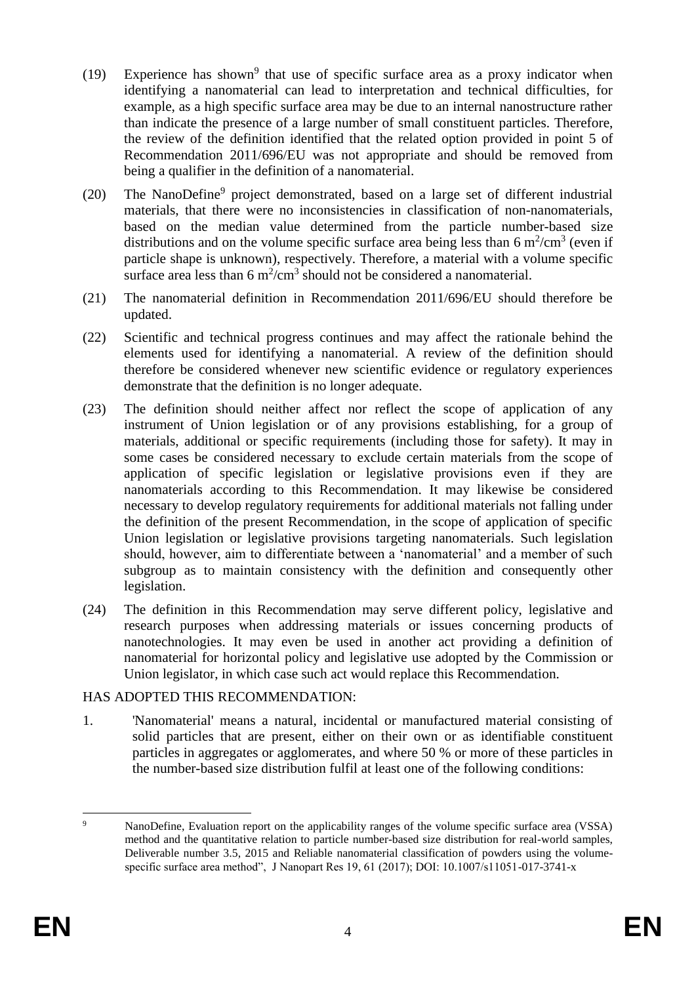- <span id="page-4-0"></span>(19) Experience has shown<sup>9</sup> that use of specific surface area as a proxy indicator when identifying a nanomaterial can lead to interpretation and technical difficulties, for example, as a high specific surface area may be due to an internal nanostructure rather than indicate the presence of a large number of small constituent particles. Therefore, the review of the definition identified that the related option provided in point 5 of Recommendation 2011/696/EU was not appropriate and should be removed from being a qualifier in the definition of a nanomaterial.
- (20) The NanoDefine<sup>[9](#page-4-0)</sup> project demonstrated, based on a large set of different industrial materials, that there were no inconsistencies in classification of non-nanomaterials, based on the median value determined from the particle number-based size distributions and on the volume specific surface area being less than 6  $m^2/cm^3$  (even if particle shape is unknown), respectively. Therefore, a material with a volume specific surface area less than  $6 \text{ m}^2/\text{cm}^3$  should not be considered a nanomaterial.
- (21) The nanomaterial definition in Recommendation 2011/696/EU should therefore be updated.
- (22) Scientific and technical progress continues and may affect the rationale behind the elements used for identifying a nanomaterial. A review of the definition should therefore be considered whenever new scientific evidence or regulatory experiences demonstrate that the definition is no longer adequate.
- (23) The definition should neither affect nor reflect the scope of application of any instrument of Union legislation or of any provisions establishing, for a group of materials, additional or specific requirements (including those for safety). It may in some cases be considered necessary to exclude certain materials from the scope of application of specific legislation or legislative provisions even if they are nanomaterials according to this Recommendation. It may likewise be considered necessary to develop regulatory requirements for additional materials not falling under the definition of the present Recommendation, in the scope of application of specific Union legislation or legislative provisions targeting nanomaterials. Such legislation should, however, aim to differentiate between a 'nanomaterial' and a member of such subgroup as to maintain consistency with the definition and consequently other legislation.
- (24) The definition in this Recommendation may serve different policy, legislative and research purposes when addressing materials or issues concerning products of nanotechnologies. It may even be used in another act providing a definition of nanomaterial for horizontal policy and legislative use adopted by the Commission or Union legislator, in which case such act would replace this Recommendation.

### HAS ADOPTED THIS RECOMMENDATION:

1. 'Nanomaterial' means a natural, incidental or manufactured material consisting of solid particles that are present, either on their own or as identifiable constituent particles in aggregates or agglomerates, and where 50 % or more of these particles in the number-based size distribution fulfil at least one of the following conditions:

 $\overline{Q}$ NanoDefine, Evaluation report on the applicability ranges of the volume specific surface area (VSSA) method and the quantitative relation to particle number-based size distribution for real-world samples, Deliverable number 3.5, 2015 and Reliable nanomaterial classification of powders using the volumespecific surface area method", J Nanopart Res 19, 61 (2017); DOI: 10.1007/s11051-017-3741-x